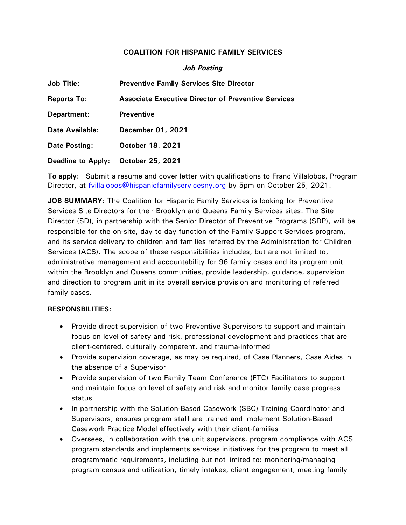## **COALITION FOR HISPANIC FAMILY SERVICES**

## *Job Posting*

| <b>Job Title:</b>         | <b>Preventive Family Services Site Director</b>            |
|---------------------------|------------------------------------------------------------|
| <b>Reports To:</b>        | <b>Associate Executive Director of Preventive Services</b> |
| Department:               | <b>Preventive</b>                                          |
| Date Available:           | December 01, 2021                                          |
| Date Posting:             | October 18, 2021                                           |
| <b>Deadline to Apply:</b> | October 25, 2021                                           |

**To apply**: Submit a resume and cover letter with qualifications to Franc Villalobos, Program Director, at **fvillalobos@hispanicfamilyservicesny.org** by 5pm on October 25, 2021.

**JOB SUMMARY:** The Coalition for Hispanic Family Services is looking for Preventive Services Site Directors for their Brooklyn and Queens Family Services sites. The Site Director (SD), in partnership with the Senior Director of Preventive Programs (SDP), will be responsible for the on-site, day to day function of the Family Support Services program, and its service delivery to children and families referred by the Administration for Children Services (ACS). The scope of these responsibilities includes, but are not limited to, administrative management and accountability for 96 family cases and its program unit within the Brooklyn and Queens communities, provide leadership, guidance, supervision and direction to program unit in its overall service provision and monitoring of referred family cases.

## **RESPONSBILITIES:**

- Provide direct supervision of two Preventive Supervisors to support and maintain focus on level of safety and risk, professional development and practices that are client-centered, culturally competent, and trauma-informed
- Provide supervision coverage, as may be required, of Case Planners, Case Aides in the absence of a Supervisor
- Provide supervision of two Family Team Conference (FTC) Facilitators to support and maintain focus on level of safety and risk and monitor family case progress status
- In partnership with the Solution-Based Casework (SBC) Training Coordinator and Supervisors, ensures program staff are trained and implement Solution-Based Casework Practice Model effectively with their client-families
- Oversees, in collaboration with the unit supervisors, program compliance with ACS program standards and implements services initiatives for the program to meet all programmatic requirements, including but not limited to: monitoring/managing program census and utilization, timely intakes, client engagement, meeting family